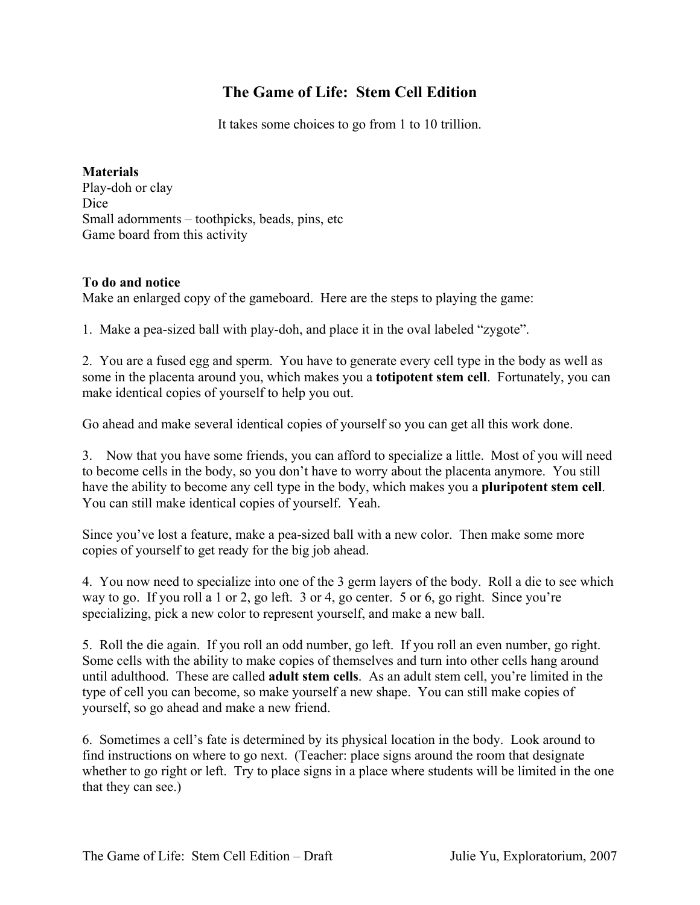## **The Game of Life: Stem Cell Edition**

It takes some choices to go from 1 to 10 trillion.

**Materials**  Play-doh or clay Dice Small adornments – toothpicks, beads, pins, etc Game board from this activity

## **To do and notice**

Make an enlarged copy of the gameboard. Here are the steps to playing the game:

1. Make a pea-sized ball with play-doh, and place it in the oval labeled "zygote".

2. You are a fused egg and sperm. You have to generate every cell type in the body as well as some in the placenta around you, which makes you a **totipotent stem cell**. Fortunately, you can make identical copies of yourself to help you out.

Go ahead and make several identical copies of yourself so you can get all this work done.

3. Now that you have some friends, you can afford to specialize a little. Most of you will need to become cells in the body, so you don't have to worry about the placenta anymore. You still have the ability to become any cell type in the body, which makes you a **pluripotent stem cell**. You can still make identical copies of yourself. Yeah.

Since you've lost a feature, make a pea-sized ball with a new color. Then make some more copies of yourself to get ready for the big job ahead.

4. You now need to specialize into one of the 3 germ layers of the body. Roll a die to see which way to go. If you roll a 1 or 2, go left. 3 or 4, go center. 5 or 6, go right. Since you're specializing, pick a new color to represent yourself, and make a new ball.

5. Roll the die again. If you roll an odd number, go left. If you roll an even number, go right. Some cells with the ability to make copies of themselves and turn into other cells hang around until adulthood. These are called **adult stem cells**. As an adult stem cell, you're limited in the type of cell you can become, so make yourself a new shape. You can still make copies of yourself, so go ahead and make a new friend.

6. Sometimes a cell's fate is determined by its physical location in the body. Look around to find instructions on where to go next. (Teacher: place signs around the room that designate whether to go right or left. Try to place signs in a place where students will be limited in the one that they can see.)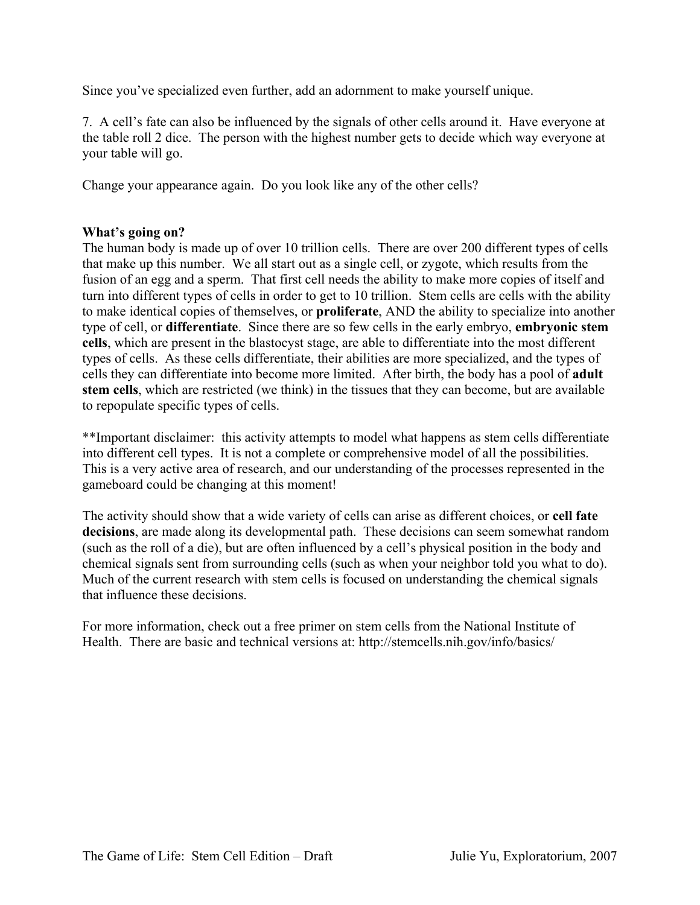Since you've specialized even further, add an adornment to make yourself unique.

7. A cell's fate can also be influenced by the signals of other cells around it. Have everyone at the table roll 2 dice. The person with the highest number gets to decide which way everyone at your table will go.

Change your appearance again. Do you look like any of the other cells?

## **What's going on?**

The human body is made up of over 10 trillion cells. There are over 200 different types of cells that make up this number. We all start out as a single cell, or zygote, which results from the fusion of an egg and a sperm. That first cell needs the ability to make more copies of itself and turn into different types of cells in order to get to 10 trillion. Stem cells are cells with the ability to make identical copies of themselves, or **proliferate**, AND the ability to specialize into another type of cell, or **differentiate**. Since there are so few cells in the early embryo, **embryonic stem cells**, which are present in the blastocyst stage, are able to differentiate into the most different types of cells. As these cells differentiate, their abilities are more specialized, and the types of cells they can differentiate into become more limited. After birth, the body has a pool of **adult stem cells**, which are restricted (we think) in the tissues that they can become, but are available to repopulate specific types of cells.

\*\*Important disclaimer: this activity attempts to model what happens as stem cells differentiate into different cell types. It is not a complete or comprehensive model of all the possibilities. This is a very active area of research, and our understanding of the processes represented in the gameboard could be changing at this moment!

The activity should show that a wide variety of cells can arise as different choices, or **cell fate**  decisions, are made along its developmental path. These decisions can seem somewhat random (such as the roll of a die), but are often influenced by a cell's physical position in the body and chemical signals sent from surrounding cells (such as when your neighbor told you what to do). Much of the current research with stem cells is focused on understanding the chemical signals that influence these decisions.

For more information, check out a free primer on stem cells from the National Institute of Health. There are basic and technical versions at: <http://stemcells.nih.gov/info/basics/>